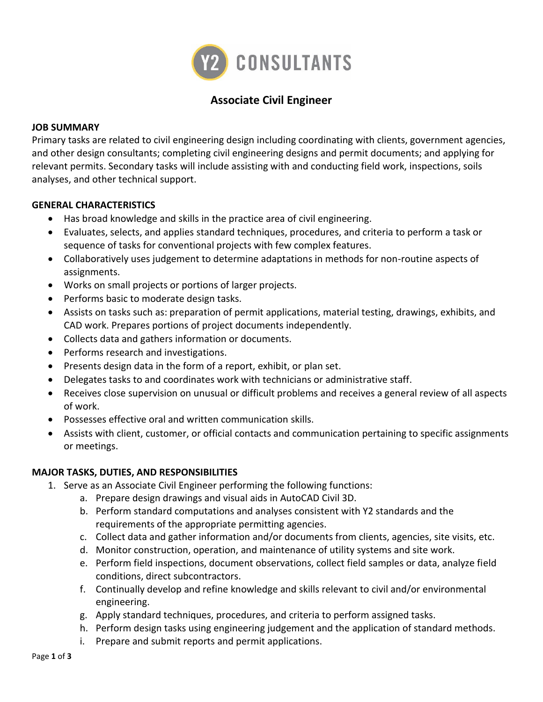

# **Associate Civil Engineer**

#### **JOB SUMMARY**

Primary tasks are related to civil engineering design including coordinating with clients, government agencies, and other design consultants; completing civil engineering designs and permit documents; and applying for relevant permits. Secondary tasks will include assisting with and conducting field work, inspections, soils analyses, and other technical support.

#### **GENERAL CHARACTERISTICS**

- Has broad knowledge and skills in the practice area of civil engineering.
- Evaluates, selects, and applies standard techniques, procedures, and criteria to perform a task or sequence of tasks for conventional projects with few complex features.
- Collaboratively uses judgement to determine adaptations in methods for non-routine aspects of assignments.
- Works on small projects or portions of larger projects.
- Performs basic to moderate design tasks.
- Assists on tasks such as: preparation of permit applications, material testing, drawings, exhibits, and CAD work. Prepares portions of project documents independently.
- Collects data and gathers information or documents.
- Performs research and investigations.
- Presents design data in the form of a report, exhibit, or plan set.
- Delegates tasks to and coordinates work with technicians or administrative staff.
- Receives close supervision on unusual or difficult problems and receives a general review of all aspects of work.
- Possesses effective oral and written communication skills.
- Assists with client, customer, or official contacts and communication pertaining to specific assignments or meetings.

## **MAJOR TASKS, DUTIES, AND RESPONSIBILITIES**

- 1. Serve as an Associate Civil Engineer performing the following functions:
	- a. Prepare design drawings and visual aids in AutoCAD Civil 3D.
	- b. Perform standard computations and analyses consistent with Y2 standards and the requirements of the appropriate permitting agencies.
	- c. Collect data and gather information and/or documents from clients, agencies, site visits, etc.
	- d. Monitor construction, operation, and maintenance of utility systems and site work.
	- e. Perform field inspections, document observations, collect field samples or data, analyze field conditions, direct subcontractors.
	- f. Continually develop and refine knowledge and skills relevant to civil and/or environmental engineering.
	- g. Apply standard techniques, procedures, and criteria to perform assigned tasks.
	- h. Perform design tasks using engineering judgement and the application of standard methods.
	- i. Prepare and submit reports and permit applications.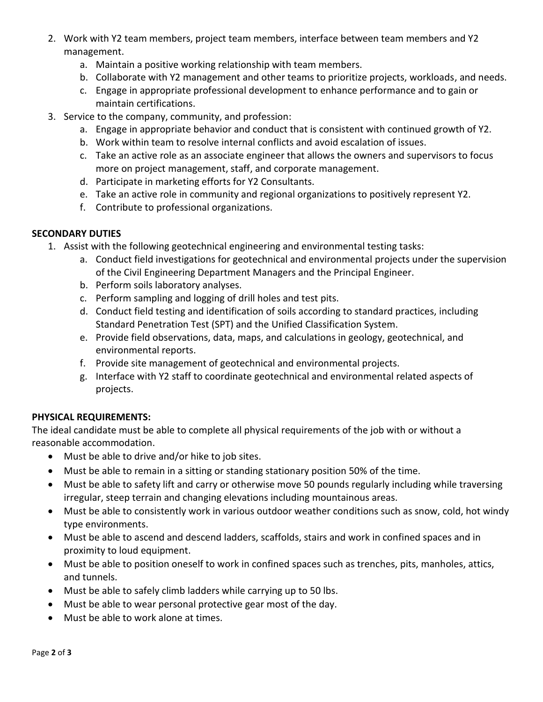- 2. Work with Y2 team members, project team members, interface between team members and Y2 management.
	- a. Maintain a positive working relationship with team members.
	- b. Collaborate with Y2 management and other teams to prioritize projects, workloads, and needs.
	- c. Engage in appropriate professional development to enhance performance and to gain or maintain certifications.
- 3. Service to the company, community, and profession:
	- a. Engage in appropriate behavior and conduct that is consistent with continued growth of Y2.
	- b. Work within team to resolve internal conflicts and avoid escalation of issues.
	- c. Take an active role as an associate engineer that allows the owners and supervisors to focus more on project management, staff, and corporate management.
	- d. Participate in marketing efforts for Y2 Consultants.
	- e. Take an active role in community and regional organizations to positively represent Y2.
	- f. Contribute to professional organizations.

## **SECONDARY DUTIES**

- 1. Assist with the following geotechnical engineering and environmental testing tasks:
	- a. Conduct field investigations for geotechnical and environmental projects under the supervision of the Civil Engineering Department Managers and the Principal Engineer.
	- b. Perform soils laboratory analyses.
	- c. Perform sampling and logging of drill holes and test pits.
	- d. Conduct field testing and identification of soils according to standard practices, including Standard Penetration Test (SPT) and the Unified Classification System.
	- e. Provide field observations, data, maps, and calculations in geology, geotechnical, and environmental reports.
	- f. Provide site management of geotechnical and environmental projects.
	- g. Interface with Y2 staff to coordinate geotechnical and environmental related aspects of projects.

## **PHYSICAL REQUIREMENTS:**

The ideal candidate must be able to complete all physical requirements of the job with or without a reasonable accommodation.

- Must be able to drive and/or hike to job sites.
- Must be able to remain in a sitting or standing stationary position 50% of the time.
- Must be able to safety lift and carry or otherwise move 50 pounds regularly including while traversing irregular, steep terrain and changing elevations including mountainous areas.
- Must be able to consistently work in various outdoor weather conditions such as snow, cold, hot windy type environments.
- Must be able to ascend and descend ladders, scaffolds, stairs and work in confined spaces and in proximity to loud equipment.
- Must be able to position oneself to work in confined spaces such as trenches, pits, manholes, attics, and tunnels.
- Must be able to safely climb ladders while carrying up to 50 lbs.
- Must be able to wear personal protective gear most of the day.
- Must be able to work alone at times.